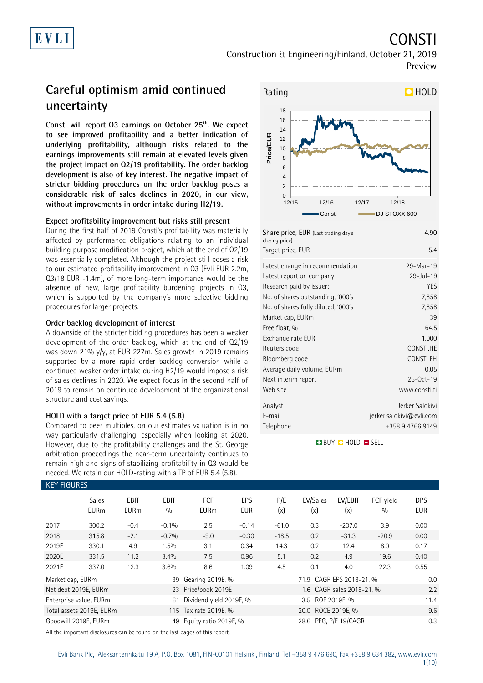# CONSTI

Construction & Engineering/Finland, October 21, 2019 Preview

# **Careful optimism amid continued uncertainty**

**Consti will report Q3 earnings on October 25th. We expect to see improved profitability and a better indication of underlying profitability, although risks related to the earnings improvements still remain at elevated levels given the project impact on Q2/19 profitability. The order backlog development is also of key interest. The negative impact of stricter bidding procedures on the order backlog poses a considerable risk of sales declines in 2020, in our view, without improvements in order intake during H2/19.** 

### **Expect profitability improvement but risks still present**

During the first half of 2019 Consti's profitability was materially affected by performance obligations relating to an individual building purpose modification project, which at the end of Q2/19 was essentially completed. Although the project still poses a risk to our estimated profitability improvement in Q3 (Evli EUR 2.2m, Q3/18 EUR -1.4m), of more long-term importance would be the absence of new, large profitability burdening projects in Q3, which is supported by the company's more selective bidding procedures for larger projects.

### **Order backlog development of interest**

A downside of the stricter bidding procedures has been a weaker development of the order backlog, which at the end of Q2/19 was down 21% y/y, at EUR 227m. Sales growth in 2019 remains supported by a more rapid order backlog conversion while a continued weaker order intake during H2/19 would impose a risk of sales declines in 2020. We expect focus in the second half of 2019 to remain on continued development of the organizational structure and cost savings.

### **HOLD with a target price of EUR 5.4 (5.8)**

Compared to peer multiples, on our estimates valuation is in no way particularly challenging, especially when looking at 2020. However, due to the profitability challenges and the St. George arbitration proceedings the near-term uncertainty continues to remain high and signs of stabilizing profitability in Q3 would be needed. We retain our HOLD-rating with a TP of EUR 5.4 (5.8).



| Share price, EUR (Last trading day's<br>closing price) | 4.90                        |
|--------------------------------------------------------|-----------------------------|
| Target price, EUR                                      | 5.4                         |
| Latest change in recommendation                        | 29-Mar-19                   |
| Latest report on company                               | $29 - Jul - 19$             |
| Research paid by issuer:                               | <b>YES</b>                  |
| No. of shares outstanding, '000's                      | 7,858                       |
| No. of shares fully diluted, '000's                    | 7,858                       |
| Market cap, EURm                                       | 39                          |
| Free float, %                                          | 64.5                        |
| Exchange rate EUR                                      | 1.000                       |
| Reuters code                                           | CONSTI.HE                   |
| Bloomberg code                                         | CONSTI FH                   |
| Average daily volume, EURm                             | 0.05                        |
| Next interim report                                    | 25-Oct-19                   |
| Web site                                               | www.consti.fi               |
| Analyst                                                | Jerker Salokivi             |
| E-mail                                                 | $j$ erker.salokivi@evli.com |
| Telephone                                              | +358 9 4766 9149            |

### **BUY QHOLD SELL**

| <b>KEY FIGURES</b> |                             |                            |                    |                           |                   |            |                          |                           |                  |                          |
|--------------------|-----------------------------|----------------------------|--------------------|---------------------------|-------------------|------------|--------------------------|---------------------------|------------------|--------------------------|
|                    | <b>Sales</b><br><b>EURm</b> | <b>EBIT</b><br><b>EURm</b> | <b>EBIT</b><br>0/0 | <b>FCF</b><br><b>EURm</b> | EPS<br><b>EUR</b> | P/E<br>(x) | EV/Sales<br>(x)          | EV/EBIT<br>(x)            | FCF vield<br>0/0 | <b>DPS</b><br><b>EUR</b> |
| 2017               | 300.2                       | $-0.4$                     | $-0.1%$            | 2.5                       | $-0.14$           | $-61.0$    | 0.3                      | $-207.0$                  | 3.9              | 0.00                     |
| 2018               | 315.8                       | $-2.1$                     | $-0.7%$            | $-9.0$                    | $-0.30$           | $-18.5$    | 0.2                      | $-31.3$                   | $-20.9$          | 0.00                     |
| 2019E              | 330.1                       | 4.9                        | 1.5%               | 3.1                       | 0.34              | 14.3       | 0.2                      | 12.4                      | 8.0              | 0.17                     |
| 2020E              | 331.5                       | 11.2                       | 3.4%               | 7.5                       | 0.96              | 5.1        | 0.2                      | 4.9                       | 19.6             | 0.40                     |
| 2021E              | 337.0                       | 12.3                       | 3.6%               | 8.6                       | 1.09              | 4.5        | 0.1                      | 4.0                       | 22.3             | 0.55                     |
| Market cap, EURm   |                             |                            | 39                 | Gearing 2019E, %          |                   |            | 71.9 CAGR EPS 2018-21, % |                           |                  | 0.0                      |
|                    | Net debt 2019E, EURm        |                            |                    | 23 Price/book 2019E       |                   |            |                          | 1.6 CAGR sales 2018-21, % |                  | 2.2                      |
|                    | Enterprise value, EURm      |                            | 61                 | Dividend yield 2019E, %   |                   |            | 3.5 ROE 2019E, %         |                           |                  | 11.4                     |
|                    | Total assets 2019E, EURm    |                            |                    | 115 Tax rate 2019E, %     |                   |            | 20.0 ROCE 2019E, %       |                           |                  | 9.6                      |
|                    | Goodwill 2019E, EURm        |                            | 49                 | Equity ratio 2019E, %     |                   |            | 28.6 PEG, P/E 19/CAGR    |                           |                  | 0.3                      |

All the important disclosures can be found on the last pages of this report.

Evli Bank Plc, Aleksanterinkatu 19 A, P.O. Box 1081, FIN-00101 Helsinki, Finland, Tel +358 9 476 690, Fax +358 9 634 382, [www.evli.com](http://www.evli.com/) 1(10)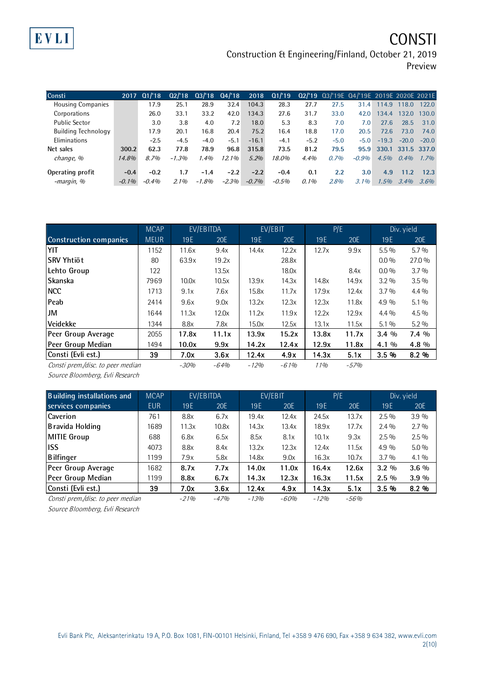# EVLI

# **CONSTI**

Construction & Engineering/Finland, October 21, 2019 Preview

| Consti                     | 2017     | Q1/18    | 02/18   |        | $Q3/18$ $Q4/18$ | 2018    | Q1/19   |        | 02/'19 03/'19E 04/'19E 2019E 2020E 2021E |         |         |             |         |
|----------------------------|----------|----------|---------|--------|-----------------|---------|---------|--------|------------------------------------------|---------|---------|-------------|---------|
| <b>Housing Companies</b>   |          | 17.9     | 25.1    | 28.9   | 32.4            | 104.3   | 28.3    | 27.7   | 27.5                                     | 31.4    | 114.9   | 118.0       | 122.0   |
| Corporations               |          | 26.0     | 33.1    | 33.2   | 42.0            | 134.3   | 27.6    | 31.7   | 33.0                                     | 42.0    | 134.4   | 132.0       | 130.0   |
| <b>Public Sector</b>       |          | 3.0      | 3.8     | 4.0    | 7.2             | 18.0    | 5.3     | 8.3    | 7.0                                      | 7.0     | 27.6    | 28.5        | 31.0    |
| <b>Building Technology</b> |          | 17.9     | 20.1    | 16.8   | 20.4            | 75.2    | 16.4    | 18.8   | 17.0                                     | 20.5    | 72.6    | 73.0        | 74.0    |
| Eliminations               |          | $-2.5$   | $-4.5$  | $-4.0$ | $-5.1$          | $-16.1$ | $-4.1$  | $-5.2$ | $-5.0$                                   | $-5.0$  | $-19.3$ | $-20.0$     | $-20.0$ |
| Net sales                  | 300.2    | 62.3     | 77.8    | 78.9   | 96.8            | 315.8   | 73.5    | 81.2   | 79.5                                     | 95.9    | 330.1   | 331.5 337.0 |         |
| change, %                  | 14.8%    | 8.7%     | $-1.3%$ | 1.4%   | 12.1%           | 5.2%    | 18.0%   | 4.4%   | 0.7%                                     | $-0.9%$ | 4.5%    | 0.4%        | 1.7%    |
| Operating profit           | $-0.4$   | $-0.2$   | 1.7     | $-1.4$ | $-2.2$          | $-2.2$  | $-0.4$  | 0.1    | 2.2                                      | 3.0     | 4.9     | 11.2        | 12.3    |
| -margin, %                 | $-0.1\%$ | $-0.4\%$ | 2.1%    | -1.8%  | $-2.3%$         | $-0.7%$ | $-0.5%$ | 0.1%   | 2.8%                                     | $3.1\%$ | 1.5%    | 3.4%        | 3.6%    |

|                                   | <b>MCAP</b> |        | EV/EBITDA |            | EV/EBIT    |       | P/E    |         | Div. yield |
|-----------------------------------|-------------|--------|-----------|------------|------------|-------|--------|---------|------------|
| <b>Construction companies</b>     | <b>MEUR</b> | 19E    | 20E       | <b>19E</b> | <b>20E</b> | 19E   | 20E    | 19E     | 20E        |
| YIT                               | 1152        | 11.6x  | 9.4x      | 14.4x      | 12.2x      | 12.7x | 9.9x   | $5.5\%$ | $5.7\%$    |
| lSRV Yhtiöt                       | 80          | 63.9x  | 19.2x     |            | 28.8x      |       |        | $0.0\%$ | 27.0 %     |
| Lehto Group                       | 122         |        | 13.5x     |            | 18.0x      |       | 8.4x   | $0.0\%$ | $3.7\%$    |
| <b>Skanska</b>                    | 7969        | 10.0x  | 10.5x     | 13.9x      | 14.3x      | 14.8x | 14.9x  | $3.2\%$ | $3.5\%$    |
| <b>NCC</b>                        | 1713        | 9.1x   | 7.6x      | 15.8x      | 11.7x      | 17.9x | 12.4x  | $3.7\%$ | $4.4\%$    |
| <b>Peab</b>                       | 2414        | 9.6x   | 9.0x      | 13.2x      | 12.3x      | 12.3x | 11.8x  | $4.9\%$ | $5.1\%$    |
| JM                                | 1644        | 11.3x  | 12.0x     | 11.2x      | 11.9x      | 12.2x | 12.9x  | $4.4\%$ | $4.5\%$    |
| <b>Veidekke</b>                   | 1344        | 8.8x   | 7.8x      | 15.0x      | 12.5x      | 13.1x | 11.5x  | $5.1\%$ | $5.2\%$    |
| Peer Group Average                | 2055        | 17.8x  | 11.1x     | 13.9x      | 15.2x      | 13.8x | 11.7x  | $3.4\%$ | $7.4\%$    |
| Peer Group Median                 | 1494        | 10.0x  | 9.9x      | 14.2x      | 12.4x      | 12.9x | 11.8x  | 4.1 %   | 4.8 %      |
| Consti (Evli est.)                | 39          | 7.0x   | 3.6x      | 12.4x      | 4.9x       | 14.3x | 5.1x   | 3.5%    | 8.2%       |
| Consti prem./disc. to peer median |             | $-30%$ | $-64%$    | $-12%$     | $-61%$     | 11%   | $-57%$ |         |            |

Source Bloomberg, Evli Research

| <b>Building installations and</b> | <b>MCAP</b> |        | EV/EBITDA |        | EV/EBIT | P/E    |        |            | Div. yield |
|-----------------------------------|-------------|--------|-----------|--------|---------|--------|--------|------------|------------|
| services companies                | <b>EUR</b>  | 19E    | 20E       | 19E    | 20E     | 19E    | 20E    | <b>19E</b> | 20E        |
| <b>Caverion</b>                   | 761         | 8.8x   | 6.7x      | 19.4x  | 12.4x   | 24.5x  | 13.7x  | $2.5\%$    | 3.9%       |
| Bravida Holding                   | 1689        | 11.3x  | 10.8x     | 14.3x  | 13.4x   | 18.9x  | 17.7x  | $2.4\%$    | $2.7\%$    |
| MITIE Group                       | 688         | 6.8x   | 6.5x      | 8.5x   | 8.1x    | 10.1x  | 9.3x   | $2.5\%$    | $2.5\%$    |
| liss                              | 4073        | 8.8x   | 8.4x      | 13.2x  | 12.3x   | 12.4x  | 11.5x  | 4.9 %      | $5.0\%$    |
| Bilfinger                         | 1199        | 7.9x   | 5.8x      | 14.8x  | 9.0x    | 16.3x  | 10.7x  | $3.7\%$    | $4.1\%$    |
| Peer Group Average                | 1682        | 8.7x   | 7.7x      | 14.0x  | 11.0x   | 16.4x  | 12.6x  | $3.2\%$    | $3.6\%$    |
| Peer Group Median                 | 1199        | 8.8x   | 6.7x      | 14.3x  | 12.3x   | 16.3x  | 11.5x  | $2.5\%$    | $3.9\%$    |
| Consti (Evli est.)                | 39          | 7.0x   | 3.6x      | 12.4x  | 4.9x    | 14.3x  | 5.1x   | 3.5%       | 8.2%       |
| Consti prem./disc. to peer median |             | $-21%$ | $-47%$    | $-13%$ | $-60%$  | $-12%$ | $-56%$ |            |            |

Source Bloomberg, Evli Research

Evli Bank Plc, Aleksanterinkatu 19 A, P.O. Box 1081, FIN-00101 Helsinki, Finland, Tel +358 9 476 690, Fax +358 9 634 382, [www.evli.com](http://www.evli.com/) 2(10)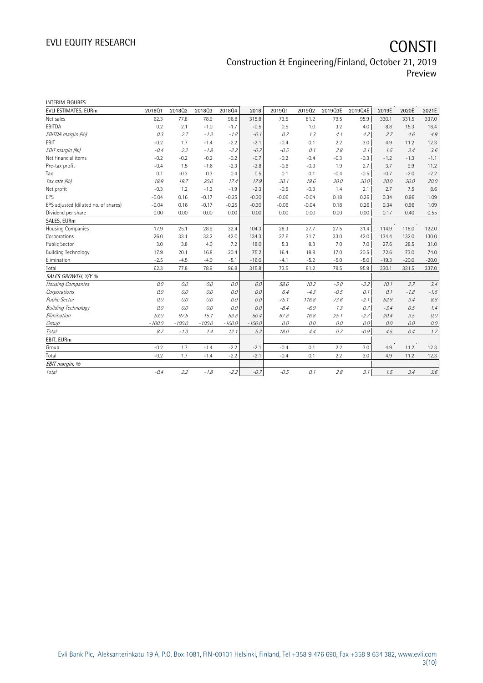| <b>INTERIM FIGURES</b>               |          |          |          |          |          |         |         |         |         |         |         |         |
|--------------------------------------|----------|----------|----------|----------|----------|---------|---------|---------|---------|---------|---------|---------|
| EVLI ESTIMATES, EURm                 | 201801   | 201802   | 201803   | 201804   | 2018     | 201901  | 201902  | 2019Q3E | 2019Q4E | 2019E   | 2020E   | 2021E   |
| Net sales                            | 62.3     | 77.8     | 78.9     | 96.8     | 315.8    | 73.5    | 81.2    | 79.5    | 95.9    | 330.1   | 331.5   | 337.0   |
| EBITDA                               | 0.2      | 2.1      | $-1.0$   | $-1.7$   | $-0.5$   | 0.5     | 1.0     | 3.2     | 4.0     | 8.8     | 15.3    | 16.4    |
| EBITDA margin (%)                    | 0.3      | 2.7      | $-1.3$   | $-1.8$   | $-0.1$   | 0.7     | 1.3     | 4.1     | 4.2     | 2.7     | 4.6     | 4.9     |
| EBIT                                 | $-0.2$   | 1.7      | $-1.4$   | $-2.2$   | $-2.1$   | $-0.4$  | 0.1     | 2.2     | 3.0     | 4.9     | 11.2    | 12.3    |
| EBIT margin (%)                      | $-0.4$   | 2.2      | $-1.8$   | $-2.2$   | $-0.7$   | $-0.5$  | 0.1     | 2.8     | 3.1     | 1.5     | 3.4     | 3.6     |
| Net financial items                  | $-0.2$   | $-0.2$   | $-0.2$   | $-0.2$   | $-0.7$   | $-0.2$  | $-0.4$  | $-0.3$  | $-0.3$  | $-1.2$  | $-1.3$  | $-1.1$  |
| Pre-tax profit                       | $-0.4$   | 1.5      | $-1.6$   | $-2.3$   | $-2.8$   | $-0.6$  | $-0.3$  | 1.9     | 2.7     | 3.7     | 9.9     | 11.2    |
| Tax                                  | 0.1      | $-0.3$   | 0.3      | 0.4      | 0.5      | 0.1     | 0.1     | $-0.4$  | $-0.5$  | $-0.7$  | $-2.0$  | $-2.2$  |
| Tax rate (%)                         | 18.9     | 19.7     | 20.0     | 17.4     | 17.9     | 20.1    | 19.6    | 20.0    | 20.0    | 20.0    | 20.0    | 20.0    |
| Net profit                           | $-0.3$   | 1.2      | $-1.3$   | $-1.9$   | $-2.3$   | $-0.5$  | $-0.3$  | 1.4     | 2.1     | 2.7     | 7.5     | 8.6     |
| <b>EPS</b>                           | $-0.04$  | 0.16     | $-0.17$  | $-0.25$  | $-0.30$  | $-0.06$ | $-0.04$ | 0.18    | 0.26    | 0.34    | 0.96    | 1.09    |
| EPS adjusted (diluted no. of shares) | $-0.04$  | 0.16     | $-0.17$  | $-0.25$  | $-0.30$  | $-0.06$ | $-0.04$ | 0.18    | 0.26    | 0.34    | 0.96    | 1.09    |
| Dividend per share                   | 0.00     | 0.00     | 0.00     | 0.00     | 0.00     | 0.00    | 0.00    | 0.00    | 0.00    | 0.17    | 0.40    | 0.55    |
| SALES, EURm                          |          |          |          |          |          |         |         |         |         |         |         |         |
| Housing Companies                    | 17.9     | 25.1     | 28.9     | 32.4     | 104.3    | 28.3    | 27.7    | 27.5    | 31.4    | 114.9   | 118.0   | 122.0   |
| Corporations                         | 26.0     | 33.1     | 33.2     | 42.0     | 134.3    | 27.6    | 31.7    | 33.0    | 42.0    | 134.4   | 132.0   | 130.0   |
| <b>Public Sector</b>                 | 3.0      | 3.8      | 4.0      | 7.2      | 18.0     | 5.3     | 8.3     | 7.0     | 7.0     | 27.6    | 28.5    | 31.0    |
| <b>Building Technology</b>           | 17.9     | 20.1     | 16.8     | 20.4     | 75.2     | 16.4    | 18.8    | 17.0    | 20.5    | 72.6    | 73.0    | 74.0    |
| Elimination                          | $-2.5$   | $-4.5$   | $-4.0$   | $-5.1$   | $-16.0$  | $-4.1$  | $-5.2$  | $-5.0$  | $-5.0$  | $-19.3$ | $-20.0$ | $-20.0$ |
| Total                                | 62.3     | 77.8     | 78.9     | 96.8     | 315.8    | 73.5    | 81.2    | 79.5    | 95.9    | 330.1   | 331.5   | 337.0   |
| SALES GROWTH, Y/Y %                  |          |          |          |          |          |         |         |         |         |         |         |         |
| Housing Companies                    | 0.0      | 0.0      | 0.0      | 0.0      | 0.0      | 58.6    | 10.2    | $-5.0$  | $-3.2$  | 10.1    | 2.7     | 3.4     |
| Corporations                         | 0.0      | 0.0      | 0.0      | 0.0      | 0.0      | 6.4     | $-4.3$  | $-0.5$  | 0.1     | 0.1     | $-1.8$  | $-1.5$  |
| <b>Public Sector</b>                 | 0.0      | 0.0      | 0.0      | 0.0      | 0.0      | 75.1    | 116.8   | 73.6    | $-2.1$  | 52.9    | 3.4     | $8.8\,$ |
| <b>Building Technology</b>           | 0.0      | 0.0      | 0.0      | 0.0      | 0.0      | $-8.4$  | $-6.9$  | 1.3     | 0.7     | $-3.4$  | 0.5     | 1.4     |
| Elimination                          | 53.0     | 97.5     | 15.1     | 53.8     | 50.4     | 67.8    | 16.8    | 25.1    | $-2.7$  | 20.4    | 3.5     | 0.0     |
| Group                                | $-100.0$ | $-100.0$ | $-100.0$ | $-100.0$ | $-100.0$ | 0.0     | 0.0     | 0.0     | 0.0     | 0.0     | 0.0     | 0.0     |
| Total                                | 8.7      | $-1.3$   | 1.4      | 12.1     | 5.2      | 18.0    | 4.4     | 0.7     | $-0.9$  | 4.5     | 0.4     | 1.7     |
| EBIT, EURm                           |          |          |          |          |          |         |         |         |         |         |         |         |
| Group                                | $-0.2$   | 1.7      | $-1.4$   | $-2.2$   | $-2.1$   | $-0.4$  | 0.1     | 2.2     | 3.0     | 4.9     | 11.2    | 12.3    |
| Total                                | $-0.2$   | 1.7      | $-1.4$   | $-2.2$   | $-2.1$   | $-0.4$  | 0.1     | 2.2     | 3.0     | 4.9     | 11.2    | 12.3    |
| EBIT margin, %                       |          |          |          |          |          |         |         |         |         |         |         |         |
| <b>Total</b>                         | $-0.4$   | 2.2      | $-1.8$   | $-2.2$   | $-0.7$   | $-0.5$  | 0.1     | 2.8     | 3.1     | 1.5     | 3.4     | $3.6\,$ |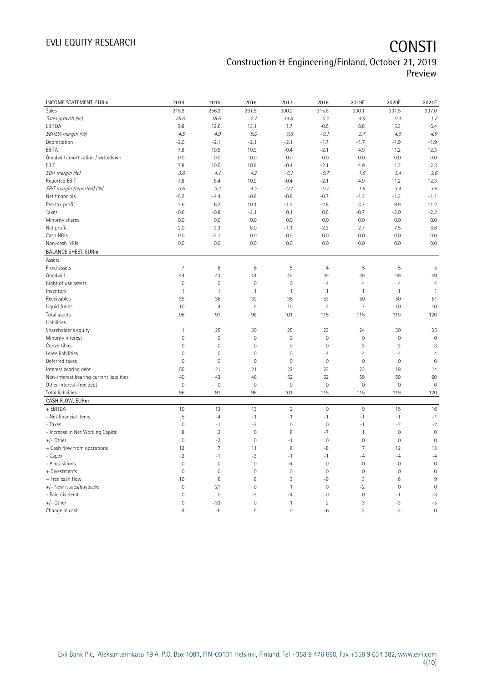# EVLI EQUITY RESEARCH **CONSTI**

### Construction & Engineering/Finland, October 21, 2019 Preview

| INCOME STATEMENT, EURm                   | 2014           | 2015           | 2016         | 2017           | 2018           | 2019E               | 2020E          | 2021E          |
|------------------------------------------|----------------|----------------|--------------|----------------|----------------|---------------------|----------------|----------------|
| Sales                                    | 215.9          | 256.2          | 261.5        | 300.2          | 315.8          | 330.1               | 331.5          | 337.0          |
| Sales growth (%)                         | 25.6           | 18.6           | 2.1          | 14.8           | 5.2            | 4.5                 | 0.4            | 1.7            |
| EBITDA                                   | 9.8            | 12.6           | 13.1         | 1.7            | $-0.5$         | 8.8                 | 15.3           | 16.4           |
| EBITDA margin (%)                        | 4.5            | 4.9            | 5.0          | 0.6            | $-0.1$         | 2.7                 | 4.6            | 4.9            |
| Depreciation                             | $-2.0$         | $-2.1$         | $-2.1$       | $-2.1$         | $-1.7$         | $-1.7$              | $-1.9$         | $-1.9$         |
| EBITA                                    | 7.8            | 10.5           | 10.9         | $-0.4$         | $-2.1$         | 4.9                 | 11.2           | 12.3           |
| Goodwill amortization / writedown        | 0.0            | 0.0            | 0.0          | 0.0            | 0.0            | 0.0                 | 0.0            | 0.0            |
| EBIT                                     | 7.8            | 10.5           | 10.9         | $-0.4$         | $-2.1$         | 4.9                 | 11.2           | 12.3           |
| EBIT margin (%)                          | 3.6            | 4.1            | 4.2          | $-0.1$         | $-0.7$         | 1.5                 | 3.4            | 3.6            |
| Reported EBIT                            | 7.8            | 8.4            | 10.9         | $-0.4$         | $-2.1$         | 4.9                 | 11.2           | 12.3           |
| EBIT margin (reported) (%)               | 3.6            | 3.3            | 4.2          | $-0.1$         | $-0.7$         | 1.5                 | 3.4            | 3.6            |
| Net financials                           | $-5.2$         | $-4.4$         | $-0.9$       | $-0.8$         | $-0.7$         | $-1.2$              | $-1.3$         | $-1.1$         |
| Pre-tax profit                           | 2.6            | 6.2            | 10.1         | $-1.2$         | $-2.8$         | 3.7                 | 9.9            | 11.2           |
| Taxes                                    | $-0.6$         | $-0.8$         | $-2.1$       | 0.1            | 0.5            | $-0.7$              | $-2.0$         | $-2.2$         |
| Minority shares                          | 0.0            | 0.0            | 0.0          | 0.0            | 0.0            | 0.0                 | 0.0            | 0.0            |
| Net profit                               | 2.0            | 3.3            | 8.0          | $-1.1$         | $-2.3$         | 2.7                 | 7.5            | 8.6            |
| Cash NRIs                                | 0.0            | $-2.1$         | 0.0          | 0.0            | 0.0            | 0.0                 | 0.0            | 0.0            |
| Non-cash NRIs                            | 0.0            | 0.0            | 0.0          | 0.0            | 0.0            | 0.0                 | 0.0            | 0.0            |
| <b>BALANCE SHEET, EURm</b>               |                |                |              |                |                |                     |                |                |
| Assets                                   |                |                |              |                |                |                     |                |                |
| Fixed assets                             | 7              | 6              | $\,6$        | 5              | $\overline{4}$ | 5                   | 5              | 5              |
| Goodwill                                 | 44             | 43             | 44           | 49             | 49             | 49                  | 49             | 49             |
| Right of use assets                      | $\mathbf 0$    | $\mathbf 0$    | $\mathbf 0$  | $\mathbf 0$    | $\overline{4}$ | $\overline{4}$      | $\overline{4}$ | $\overline{4}$ |
| Inventory                                | $\mathbf{1}$   | $\mathbf{1}$   | $\mathbf{1}$ | $\mathbf{1}$   | $\mathbf{1}$   | $\mathbf{1}$        | $\mathbf{1}$   | $\mathbf{1}$   |
| Receivables                              | 35             | 36             | 39           | 36             | 53             | 50                  | 50             | 51             |
| Liquid funds                             | 10             | $\overline{4}$ | $9\,$        | 10             | 3              | 7                   | 10             | 10             |
| Total assets                             | 96             | 91             | 98           | 101            | 115            | 115                 | 119            | 120            |
| Liabilities                              |                |                |              |                |                |                     |                |                |
| Shareholder's equity                     | $\mathbf{1}$   | 25             | 30           | 25             | 23             | 24                  | 30             | 35             |
| Minority interest                        | $\mathbf 0$    | $\mathbf 0$    | $\mathbf 0$  | $\mathbf 0$    | $\mathbf 0$    | $\mathbf 0$         | $\mathbf 0$    | $\mathbf 0$    |
| Convertibles                             | $\overline{0}$ | $\mathbf 0$    | $\mathbf{0}$ | $\mathbf 0$    | $\mathbf 0$    | 3                   | 3              | 3              |
| Lease liabilities                        | $\overline{0}$ | $\mathbf 0$    | $\mathbf{0}$ | $\mathbf 0$    | $\overline{4}$ | $\overline{4}$      | 4              | $\overline{4}$ |
| Deferred taxes                           | $\mathbf 0$    | $\mathbf 0$    | $\mathbf 0$  | $\circ$        | $\mathbf 0$    | $\mathsf{O}\xspace$ | $\mathbf 0$    | $\mathbf 0$    |
| Interest bearing debt                    | 55             | 21             | 21           | 22             | 23             | 22                  | 19             | 14             |
| Non-interest bearing current liabilities | 40             | 43             | 46           | 52             | 62             | 59                  | 59             | 60             |
| Other interest-free debt                 | $\overline{0}$ | $\mathbf 0$    | $\mathbf{0}$ | $\mathbf 0$    | $\mathbf 0$    | $\mathsf{O}\xspace$ | $\mathbf 0$    | $\mathbf 0$    |
| Total liabilities                        | 96             | 91             | 98           | 101            | 115            | 115                 | 119            | 120            |
| CASH FLOW, EURm                          |                |                |              |                |                |                     |                |                |
| + EBITDA                                 | 10             | 13             | 13           | $\overline{2}$ | $\mathbf 0$    | $\,9$               | 15             | 16             |
| - Net financial items                    | $-5$           | $-4$           | $-1$         | $-1$           | $-1$           | $-1$                | $-1$           | $-1$           |
| - Taxes                                  | $\mathbf 0$    | $-1$           | $-2$         | $\mathbf 0$    | $\mathbf 0$    | $-1$                | $-2$           | $-2$           |
| - Increase in Net Working Capital        | 8              | $\overline{2}$ | $\mathbf{0}$ | 8              | $-7$           | $\mathbf{1}$        | $\mathbf{0}$   | $\overline{0}$ |
| +/- Other                                | $\mathbf 0$    | $-2$           | $\mathbf 0$  | $-1$           | $\mathbf 0$    | $\mathsf{O}\xspace$ | $\mathbf 0$    | $\mathbf 0$    |
| = Cash flow from operations              | 12             | $\overline{7}$ | 11           | 8              | $-8$           | $\overline{7}$      | 12             | 13             |
| - Capex                                  | $-2$           | $-1$           | -3           | $-1$           | $-1$           | -4                  | $-4$           | $-4$           |
| - Acquisitions                           | $\mathbf 0$    | $\mathbf 0$    | $\mathbf 0$  | $-4$           | $\mathbf 0$    | $\mathbf 0$         | $\mathbf 0$    | $\mathbf 0$    |
| + Divestments                            | $\mathbf 0$    | $\overline{0}$ | $\mathbf{0}$ | $\circ$        | $\mathbf 0$    | $\mathbf 0$         | $\mathbf 0$    | $\overline{0}$ |
| = Free cash flow                         | 10             | $\,6\,$        | 8            | 3              | -9             | 3                   | 8              | 9              |
| +/- New issues/buybacks                  | $\mathbf{0}$   | 21             | $\mathbf 0$  | 1              | $\mathbf 0$    | $-2$                | $\mathbf 0$    | $\mathbf 0$    |
| - Paid dividend                          | $\mathbf 0$    | $\mathbf 0$    | $-3$         | $-4$           | $\mathbf 0$    | $\mathsf{O}\xspace$ | $-1$           | $-3$           |
| +/- Other                                | $\overline{0}$ | $-33$          | $\mathbf{0}$ | 1              | $\overline{2}$ | 3                   | $-3$           | $-5$           |
| Change in cash                           | 9              | $-6$           | 5            | $\mathbf{0}$   | $-6$           | 3                   | 3              | $\overline{0}$ |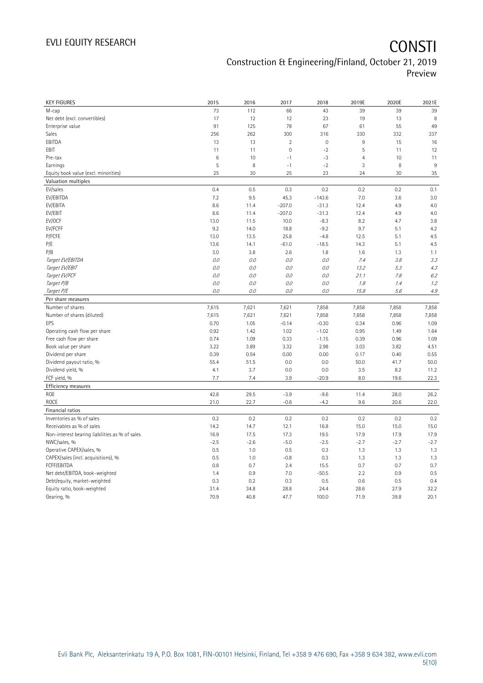| <b>KEY FIGURES</b>                             | 2015   | 2016   | 2017        | 2018        | 2019E          | 2020E  | 2021E  |
|------------------------------------------------|--------|--------|-------------|-------------|----------------|--------|--------|
| M-cap                                          | 73     | 112    | 66          | 43          | 39             | 39     | 39     |
| Net debt (excl. convertibles)                  | 17     | 12     | 12          | 23          | 19             | 13     | 8      |
| Enterprise value                               | 91     | 125    | 78          | 67          | 61             | 55     | 49     |
| Sales                                          | 256    | 262    | 300         | 316         | 330            | 332    | 337    |
| EBITDA                                         | 13     | 13     | $\sqrt{2}$  | $\mathbf 0$ | $\,9$          | 15     | 16     |
| EBIT                                           | 11     | 11     | $\mathbf 0$ | $-2$        | 5              | 11     | 12     |
| Pre-tax                                        | 6      | 10     | $-1$        | $-3$        | $\overline{4}$ | 10     | 11     |
| Earnings                                       | 5      | 8      | $-1$        | $-2$        | 3              | 8      | 9      |
| Equity book value (excl. minorities)           | 25     | 30     | 25          | 23          | 24             | 30     | 35     |
| Valuation multiples                            |        |        |             |             |                |        |        |
| EV/sales                                       | 0.4    | 0.5    | 0.3         | 0.2         | 0.2            | 0.2    | 0.1    |
| EV/EBITDA                                      | 7.2    | 9.5    | 45.3        | $-143.6$    | 7.0            | 3.6    | 3.0    |
| EV/EBITA                                       | 8.6    | 11.4   | $-207.0$    | $-31.3$     | 12.4           | 4.9    | 4.0    |
| EV/EBIT                                        | 8.6    | 11.4   | $-207.0$    | $-31.3$     | 12.4           | 4.9    | 4.0    |
| EV/OCF                                         | 13.0   | 11.5   | 10.0        | $-8.3$      | 8.2            | 4.7    | 3.8    |
| EV/FCFF                                        | 9.2    | 14.0   | 18.8        | $-9.2$      | 9.7            | 5.1    | 4.2    |
| P/FCFE                                         | 13.0   | 13.5   | 25.8        | $-4.8$      | 12.5           | 5.1    | 4.5    |
| P/E                                            | 13.6   | 14.1   | $-61.0$     | $-18.5$     | 14.3           | 5.1    | 4.5    |
| P/B                                            | 3.0    | 3.8    | 2.6         | 1.8         | 1.6            | 1.3    | 1.1    |
| Target EV/EBITDA                               | 0.0    | 0.0    | 0.0         | $O.O$       | 7.4            | 3.8    | 3.3    |
| Target EV/EBIT                                 | O.O    | 0.0    | 0.0         | 0.0         | 13.2           | 5.3    | 4.3    |
| Target EV/FCF                                  | O.O    | $O.O$  | 0.0         | 0.0         | 21.1           | 7.8    | 6.2    |
| Target P/B                                     | 0.0    | $O.O$  | 0.0         | 0.0         | 1.8            | 1.4    | 1.2    |
| Target P/E                                     | O.O    | 0.0    | 0.0         | $O.O$       | 15.8           | 5.6    | 4.9    |
| Per share measures                             |        |        |             |             |                |        |        |
| Number of shares                               | 7,615  | 7,621  | 7,621       | 7,858       | 7,858          | 7,858  | 7,858  |
| Number of shares (diluted)                     | 7,615  | 7,621  | 7,621       | 7,858       | 7,858          | 7,858  | 7,858  |
| EPS                                            | 0.70   | 1.05   | $-0.14$     | $-0.30$     | 0.34           | 0.96   | 1.09   |
| Operating cash flow per share                  | 0.92   | 1.42   | 1.02        | $-1.02$     | 0.95           | 1.49   | 1.64   |
| Free cash flow per share                       | 0.74   | 1.09   | 0.33        | $-1.15$     | 0.39           | 0.96   | 1.09   |
| Book value per share                           | 3.22   | 3.89   | 3.32        | 2.98        | 3.03           | 3.82   | 4.51   |
| Dividend per share                             | 0.39   | 0.54   | 0.00        | 0.00        | 0.17           | 0.40   | 0.55   |
| Dividend payout ratio, %                       | 55.4   | 51.5   | 0.0         | 0.0         | 50.0           | 41.7   | 50.0   |
| Dividend yield, %                              | 4.1    | 3.7    | 0.0         | 0.0         | 3.5            | 8.2    | 11.2   |
| FCF yield, %                                   | 7.7    | 7.4    | 3.9         | $-20.9$     | 8.0            | 19.6   | 22.3   |
| Efficiency measures                            |        |        |             |             |                |        |        |
| ROE                                            | 42.8   | 29.5   | $-3.9$      | $-9.6$      | 11.4           | 28.0   | 26.2   |
| ROCE                                           | 21.0   | 22.7   | $-0.6$      | $-4.2$      | 9.6            | 20.6   | 22.0   |
| Financial ratios                               |        |        |             |             |                |        |        |
| Inventories as % of sales                      | 0.2    | 0.2    | 0.2         | 0.2         | 0.2            | 0.2    | 0.2    |
| Receivables as % of sales                      | 14.2   | 14.7   | 12.1        | 16.8        | 15.0           | 15.0   | 15.0   |
| Non-interest bearing liabilities as % of sales | 16.9   | 17.5   | 17.3        | 19.5        | 17.9           | 17.9   | 17.9   |
| NWC/sales, %                                   | $-2.5$ | $-2.6$ | $-5.0$      | $-2.5$      | $-2.7$         | $-2.7$ | $-2.7$ |
| Operative CAPEX/sales, %                       | 0.5    | 1.0    | 0.5         | 0.3         | 1.3            | 1.3    | 1.3    |
| CAPEX/sales (incl. acquisitions), %            | 0.5    | 1.0    | $-0.8$      | 0.3         | 1.3            | 1.3    | 1.3    |
| FCFF/EBITDA                                    | 0.8    | 0.7    | 2.4         | 15.5        | 0.7            | 0.7    | 0.7    |
| Net debt/EBITDA, book-weighted                 | 1.4    | 0.9    | 7.0         | $-50.5$     | 2.2            | 0.9    | 0.5    |
| Debt/equity, market-weighted                   | 0.3    | 0.2    | 0.3         | 0.5         | 0.6            | 0.5    | 0.4    |
| Equity ratio, book-weighted                    | 31.4   | 34.8   | 28.8        | 24.4        | 28.6           | 27.9   | 32.2   |
| Gearing, %                                     | 70.9   | 40.8   | 47.7        | 100.0       | 71.9           | 39.8   | 20.1   |
|                                                |        |        |             |             |                |        |        |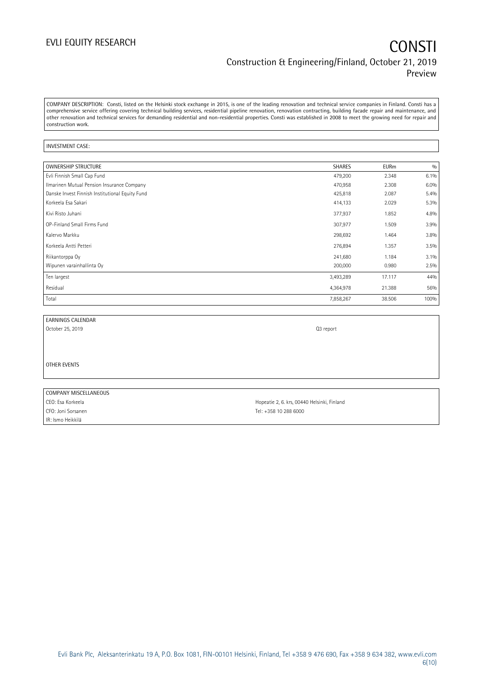COMPANY DESCRIPTION: Consti, listed on the Helsinki stock exchange in 2015, is one of the leading renovation and technical service companies in Finland. Consti has a comprehensive service offering covering technical building services, residential pipeline renovation, renovation contracting, building facade repair and maintenance, and other renovation and technical services for demanding residential and non-residential properties. Consti was established in 2008 to meet the growing need for repair and construction work.

### INVESTMENT CASE:

| <b>OWNERSHIP STRUCTURE</b>                      | SHARES    | <b>EURm</b> | 0/0  |
|-------------------------------------------------|-----------|-------------|------|
| Evli Finnish Small Cap Fund                     | 479,200   | 2.348       | 6.1% |
| Ilmarinen Mutual Pension Insurance Company      | 470,958   | 2.308       | 6.0% |
| Danske Invest Finnish Institutional Equity Fund | 425,818   | 2.087       | 5.4% |
| Korkeela Esa Sakari                             | 414,133   | 2.029       | 5.3% |
| Kivi Risto Juhani                               | 377,937   | 1.852       | 4.8% |
| OP-Finland Small Firms Fund                     | 307,977   | 1.509       | 3.9% |
| Kalervo Markku                                  | 298,692   | 1.464       | 3.8% |
| Korkeela Antti Petteri                          | 276,894   | 1.357       | 3.5% |
| Riikantorppa Oy                                 | 241,680   | 1.184       | 3.1% |
| Wipunen varainhallinta Oy                       | 200,000   | 0.980       | 2.5% |
| Ten largest                                     | 3,493,289 | 17.117      | 44%  |
| Residual                                        | 4,364,978 | 21.388      | 56%  |
| Total                                           | 7,858,267 | 38.506      | 100% |

EARNINGS CALENDAR

October 25, 2019 Q3 report

OTHER EVENTS

| COMPANY MISCELLANEOUS |     |
|-----------------------|-----|
| CEO: Esa Korkeela     | Ho  |
| CFO: Joni Sorsanen    | Tel |
| IR: Ismo Heikkilä     |     |

ppeatie 2, 6. krs, 00440 Helsinki, Finland el: +358 10 288 6000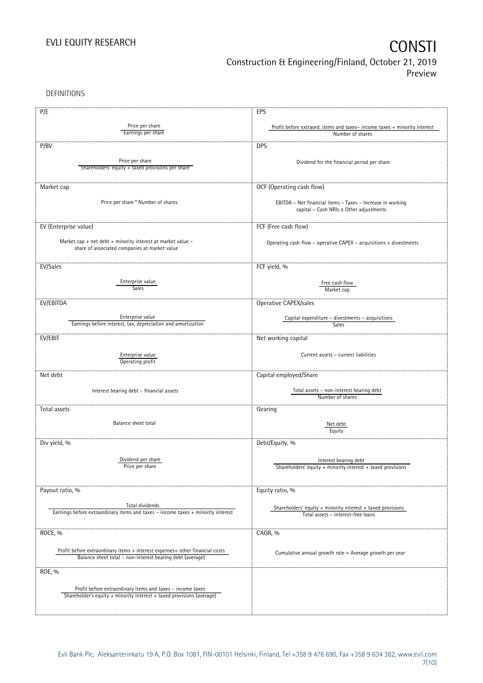DEFINITIONS

| P/E                                                                                                                                       | EPS                                                                      |
|-------------------------------------------------------------------------------------------------------------------------------------------|--------------------------------------------------------------------------|
|                                                                                                                                           |                                                                          |
| Price per share<br>Earnings per share                                                                                                     | Profit before extraord. items and taxes-income taxes + minority interest |
|                                                                                                                                           | Number of shares                                                         |
| P/BV                                                                                                                                      | <b>DPS</b>                                                               |
|                                                                                                                                           |                                                                          |
| Price per share<br>Shareholders' equity + taxed provisions per share                                                                      | Dividend for the financial period per share                              |
|                                                                                                                                           |                                                                          |
|                                                                                                                                           |                                                                          |
| Market cap                                                                                                                                | OCF (Operating cash flow)                                                |
|                                                                                                                                           |                                                                          |
| Price per share * Number of shares                                                                                                        | EBITDA - Net financial items - Taxes - Increase in working               |
|                                                                                                                                           | capital - Cash NRIs ± Other adjustments                                  |
|                                                                                                                                           |                                                                          |
| EV (Enterprise value)                                                                                                                     | FCF (Free cash flow)                                                     |
| Market cap + net debt + minority interest at market value -                                                                               |                                                                          |
| share of associated companies at market value                                                                                             | Operating cash flow - operative CAPEX - acquisitions + divestments       |
|                                                                                                                                           |                                                                          |
| EV/Sales                                                                                                                                  | FCF yield, %                                                             |
|                                                                                                                                           |                                                                          |
| Enterprise value                                                                                                                          | Free cash flow                                                           |
| <b>Sales</b>                                                                                                                              | Market cap                                                               |
|                                                                                                                                           |                                                                          |
| EV/EBITDA                                                                                                                                 | Operative CAPEX/sales                                                    |
|                                                                                                                                           |                                                                          |
| Enterprise value<br>Earnings before interest, tax, depreciation and amortization                                                          | Capital expenditure - divestments - acquisitions<br>Sales                |
|                                                                                                                                           |                                                                          |
| EV/EBIT                                                                                                                                   | Net working capital                                                      |
|                                                                                                                                           |                                                                          |
| Enterprise value                                                                                                                          | Current assets - current liabilities                                     |
| Operating profit                                                                                                                          |                                                                          |
| Net debt                                                                                                                                  | Capital employed/Share                                                   |
|                                                                                                                                           |                                                                          |
| Interest bearing debt - financial assets                                                                                                  | Total assets - non-interest bearing debt                                 |
|                                                                                                                                           | Number of shares                                                         |
|                                                                                                                                           |                                                                          |
| Total assets                                                                                                                              | Gearing                                                                  |
| Balance sheet total                                                                                                                       | Net debt                                                                 |
|                                                                                                                                           | Equity                                                                   |
|                                                                                                                                           |                                                                          |
| Div yield, %                                                                                                                              | Debt/Equity, %                                                           |
|                                                                                                                                           |                                                                          |
| Dividend per share<br>Price per share                                                                                                     | Interest bearing debt                                                    |
|                                                                                                                                           | Shareholders' equity $+$ minority interest $+$ taxed provisions          |
|                                                                                                                                           |                                                                          |
| Payout ratio, %                                                                                                                           | Equity ratio, %                                                          |
|                                                                                                                                           |                                                                          |
| Total dividends                                                                                                                           | Shareholders' equity $+$ minority interest $+$ taxed provisions          |
| Earnings before extraordinary items and taxes - income taxes + minority interest                                                          | Total assets - interest-free loans                                       |
|                                                                                                                                           |                                                                          |
| ROCE, %                                                                                                                                   | CAGR, %                                                                  |
|                                                                                                                                           |                                                                          |
|                                                                                                                                           |                                                                          |
| Profit before extraordinary items + interest expenses+ other financial costs<br>Balance sheet total - non-interest bearing debt (average) | Cumulative annual growth rate = Average growth per year                  |
|                                                                                                                                           |                                                                          |
| ROE, %                                                                                                                                    |                                                                          |
|                                                                                                                                           |                                                                          |
| Profit before extraordinary items and taxes - income taxes                                                                                |                                                                          |
| Shareholder's equity + minority interest + taxed provisions (average)                                                                     |                                                                          |
|                                                                                                                                           |                                                                          |
|                                                                                                                                           |                                                                          |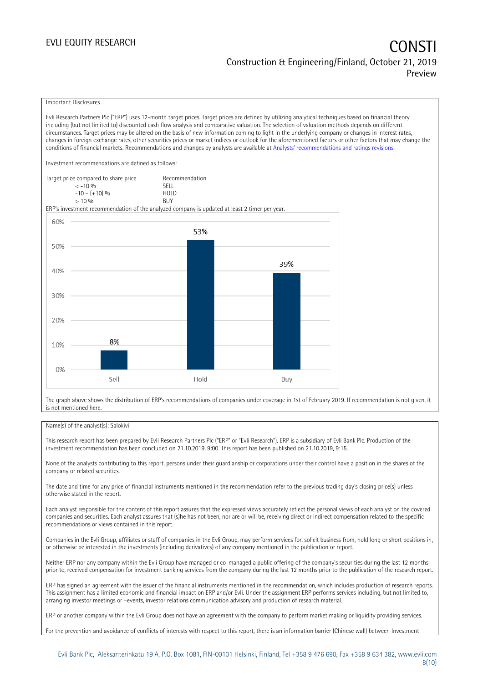## EVLI EQUITY RESEARCH **CONSTITUTE OF A CONSTITUTE OF A CONSTITUTE OF A CONSTITUTE OF A CONSTITUTE OF A CONSTITUTE** Construction & Engineering/Finland, October 21, 2019 Preview

### Important Disclosures

Evli Research Partners Plc ("ERP") uses 12-month target prices. Target prices are defined by utilizing analytical techniques based on financial theory including (but not limited to) discounted cash flow analysis and comparative valuation. The selection of valuation methods depends on different circumstances. Target prices may be altered on the basis of new information coming to light in the underlying company or changes in interest rates, changes in foreign exchange rates, other securities prices or market indices or outlook for the aforementioned factors or other factors that may change the conditions of financial markets. Recommendations and changes by analysts are available at [Analysts' recommendations and ratings revisions](https://research.evli.com/JasperAllModels.action?authParam=key;461&authParam=x;G3rNagWrtf7K&authType=3). Investment recommendations are defined as follows: Target price compared to share price Recommendation < -10 % SELL  $-10 - (+10) \%$  HOL<br>  $> 10 \%$  BUY  $> 10\%$ ERP's investment recommendation of the analyzed company is updated at least 2 timer per year. 60% 53% 50% 39% 40% 30% 20% 8% 10%  $0%$ Hold Sell Buy

The graph above shows the distribution of ERP's recommendations of companies under coverage in 1st of February 2019. If recommendation is not given, it is not mentioned here.

### Name(s) of the analyst(s): Salokivi

This research report has been prepared by Evli Research Partners Plc ("ERP" or "Evli Research"). ERP is a subsidiary of Evli Bank Plc. Production of the investment recommendation has been concluded on 21.10.2019, 9:00. This report has been published on 21.10.2019, 9:15.

None of the analysts contributing to this report, persons under their guardianship or corporations under their control have a position in the shares of the company or related securities.

The date and time for any price of financial instruments mentioned in the recommendation refer to the previous trading day's closing price(s) unless otherwise stated in the report.

Each analyst responsible for the content of this report assures that the expressed views accurately reflect the personal views of each analyst on the covered companies and securities. Each analyst assures that (s)he has not been, nor are or will be, receiving direct or indirect compensation related to the specific recommendations or views contained in this report.

Companies in the Evli Group, affiliates or staff of companies in the Evli Group, may perform services for, solicit business from, hold long or short positions in, or otherwise be interested in the investments (including derivatives) of any company mentioned in the publication or report.

Neither ERP nor any company within the Evli Group have managed or co-managed a public offering of the company's securities during the last 12 months prior to, received compensation for investment banking services from the company during the last 12 months prior to the publication of the research report.

ERP has signed an agreement with the issuer of the financial instruments mentioned in the recommendation, which includes production of research reports. This assignment has a limited economic and financial impact on ERP and/or Evli. Under the assignment ERP performs services including, but not limited to, arranging investor meetings or –events, investor relations communication advisory and production of research material.

ERP or another company within the Evli Group does not have an agreement with the company to perform market making or liquidity providing services.

For the prevention and avoidance of conflicts of interests with respect to this report, there is an information barrier (Chinese wall) between Investment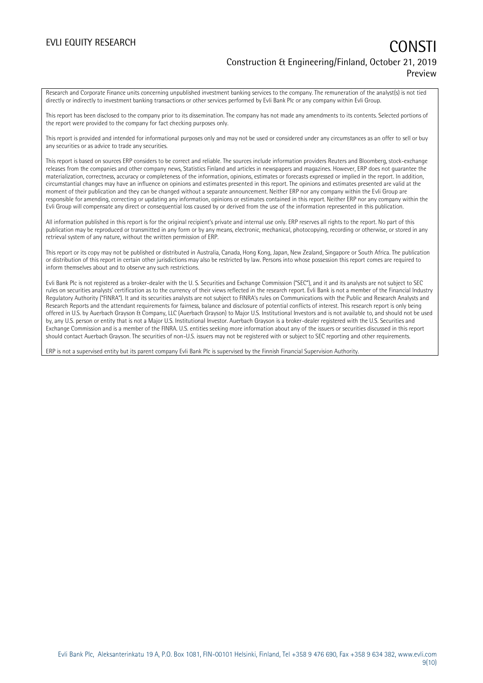## EVLI EQUITY RESEARCH **CONSTITUTE OF A CONSTITUTE OF A CONSTITUTE OF A CONSTITUTE OF A CONSTITUTE OF A CONSTITUTE** Construction & Engineering/Finland, October 21, 2019 Preview

Research and Corporate Finance units concerning unpublished investment banking services to the company. The remuneration of the analyst(s) is not tied directly or indirectly to investment banking transactions or other services performed by Evli Bank Plc or any company within Evli Group.

This report has been disclosed to the company prior to its dissemination. The company has not made any amendments to its contents. Selected portions of the report were provided to the company for fact checking purposes only.

This report is provided and intended for informational purposes only and may not be used or considered under any circumstances as an offer to sell or buy any securities or as advice to trade any securities.

This report is based on sources ERP considers to be correct and reliable. The sources include information providers Reuters and Bloomberg, stock-exchange releases from the companies and other company news, Statistics Finland and articles in newspapers and magazines. However, ERP does not guarantee the materialization, correctness, accuracy or completeness of the information, opinions, estimates or forecasts expressed or implied in the report. In addition, circumstantial changes may have an influence on opinions and estimates presented in this report. The opinions and estimates presented are valid at the moment of their publication and they can be changed without a separate announcement. Neither ERP nor any company within the Evli Group are responsible for amending, correcting or updating any information, opinions or estimates contained in this report. Neither ERP nor any company within the Evli Group will compensate any direct or consequential loss caused by or derived from the use of the information represented in this publication.

All information published in this report is for the original recipient's private and internal use only. ERP reserves all rights to the report. No part of this publication may be reproduced or transmitted in any form or by any means, electronic, mechanical, photocopying, recording or otherwise, or stored in any retrieval system of any nature, without the written permission of ERP.

This report or its copy may not be published or distributed in Australia, Canada, Hong Kong, Japan, New Zealand, Singapore or South Africa. The publication or distribution of this report in certain other jurisdictions may also be restricted by law. Persons into whose possession this report comes are required to inform themselves about and to observe any such restrictions.

Evli Bank Plc is not registered as a broker-dealer with the U. S. Securities and Exchange Commission ("SEC"), and it and its analysts are not subject to SEC rules on securities analysts' certification as to the currency of their views reflected in the research report. Evli Bank is not a member of the Financial Industry Regulatory Authority ("FINRA"). It and its securities analysts are not subject to FINRA's rules on Communications with the Public and Research Analysts and Research Reports and the attendant requirements for fairness, balance and disclosure of potential conflicts of interest. This research report is only being offered in U.S. by Auerbach Grayson & Company, LLC (Auerbach Grayson) to Major U.S. Institutional Investors and is not available to, and should not be used by, any U.S. person or entity that is not a Major U.S. Institutional Investor. Auerbach Grayson is a broker-dealer registered with the U.S. Securities and Exchange Commission and is a member of the FINRA. U.S. entities seeking more information about any of the issuers or securities discussed in this report should contact Auerbach Grayson. The securities of non-U.S. issuers may not be registered with or subject to SEC reporting and other requirements.

ERP is not a supervised entity but its parent company Evli Bank Plc is supervised by the Finnish Financial Supervision Authority.